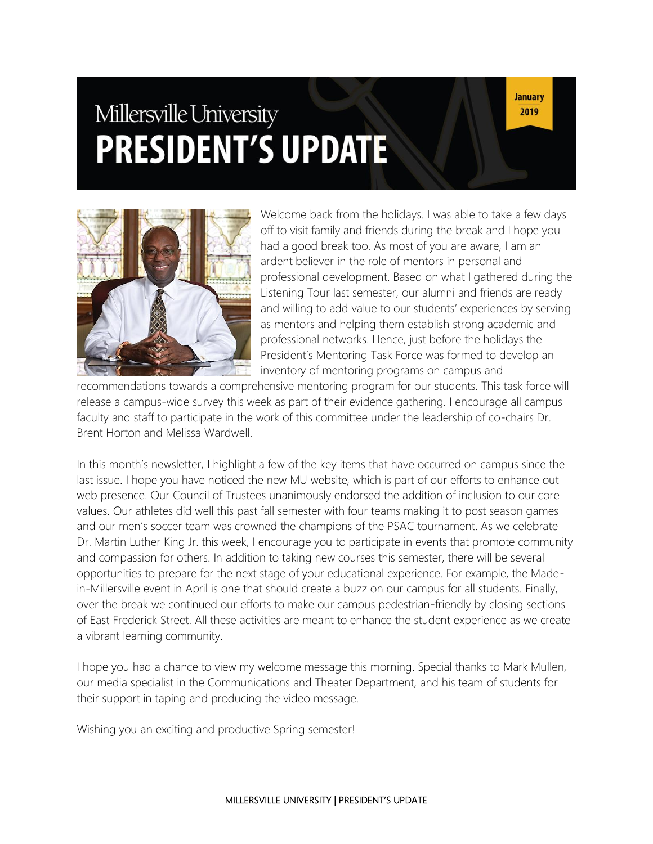# Millersville University **PRESIDENT'S UPDATE**

**January** 2019



Welcome back from the holidays. I was able to take a few days off to visit family and friends during the break and I hope you had a good break too. As most of you are aware, I am an ardent believer in the role of mentors in personal and professional development. Based on what I gathered during the Listening Tour last semester, our alumni and friends are ready and willing to add value to our students' experiences by serving as mentors and helping them establish strong academic and professional networks. Hence, just before the holidays the President's Mentoring Task Force was formed to develop an inventory of mentoring programs on campus and

recommendations towards a comprehensive mentoring program for our students. This task force will release a campus-wide survey this week as part of their evidence gathering. I encourage all campus faculty and staff to participate in the work of this committee under the leadership of co-chairs Dr. Brent Horton and Melissa Wardwell.

In this month's newsletter, I highlight a few of the key items that have occurred on campus since the last issue. I hope you have noticed the new MU website, which is part of our efforts to enhance out web presence. Our Council of Trustees unanimously endorsed the addition of inclusion to our core values. Our athletes did well this past fall semester with four teams making it to post season games and our men's soccer team was crowned the champions of the PSAC tournament. As we celebrate Dr. Martin Luther King Jr. this week, I encourage you to participate in events that promote community and compassion for others. In addition to taking new courses this semester, there will be several opportunities to prepare for the next stage of your educational experience. For example, the Madein-Millersville event in April is one that should create a buzz on our campus for all students. Finally, over the break we continued our efforts to make our campus pedestrian-friendly by closing sections of East Frederick Street. All these activities are meant to enhance the student experience as we create a vibrant learning community.

I hope you had a chance to view my welcome message this morning. Special thanks to Mark Mullen, our media specialist in the Communications and Theater Department, and his team of students for their support in taping and producing the video message.

Wishing you an exciting and productive Spring semester!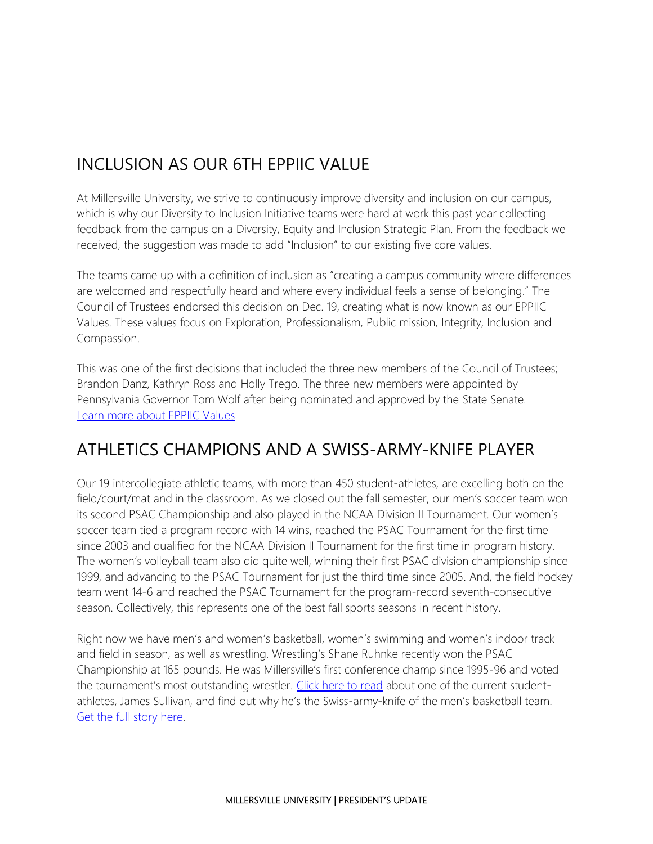# INCLUSION AS OUR 6TH EPPIIC VALUE

At Millersville University, we strive to continuously improve diversity and inclusion on our campus, which is why our Diversity to Inclusion Initiative teams were hard at work this past year collecting feedback from the campus on a Diversity, Equity and Inclusion Strategic Plan. From the feedback we received, the suggestion was made to add "Inclusion" to our existing five core values.

The teams came up with a definition of inclusion as "creating a campus community where differences are welcomed and respectfully heard and where every individual feels a sense of belonging." The Council of Trustees endorsed this decision on Dec. 19, creating what is now known as our EPPIIC Values. These values focus on Exploration, Professionalism, Public mission, Integrity, Inclusion and Compassion.

This was one of the first decisions that included the three new members of the Council of Trustees; Brandon Danz, Kathryn Ross and Holly Trego. The three new members were appointed by Pennsylvania Governor Tom Wolf after being nominated and approved by the State Senate. [Learn more about EPPIIC Values](https://www.millersville.edu/about/eppiic-values.php)

### ATHLETICS CHAMPIONS AND A SWISS-ARMY-KNIFE PLAYER

Our 19 intercollegiate athletic teams, with more than 450 student-athletes, are excelling both on the field/court/mat and in the classroom. As we closed out the fall semester, our men's soccer team won its second PSAC Championship and also played in the NCAA Division II Tournament. Our women's soccer team tied a program record with 14 wins, reached the PSAC Tournament for the first time since 2003 and qualified for the NCAA Division II Tournament for the first time in program history. The women's volleyball team also did quite well, winning their first PSAC division championship since 1999, and advancing to the PSAC Tournament for just the third time since 2005. And, the field hockey team went 14-6 and reached the PSAC Tournament for the program-record seventh-consecutive season. Collectively, this represents one of the best fall sports seasons in recent history.

Right now we have men's and women's basketball, women's swimming and women's indoor track and field in season, as well as wrestling. Wrestling's Shane Ruhnke recently won the PSAC Championship at 165 pounds. He was Millersville's first conference champ since 1995-96 and voted the tournament's most outstanding wrestler. [Click here to read](https://millersvilleathletics.com/news/2018/12/10/mens-basketball-swiss-army-knife-sullivan-key-to-fixing-marauders-culture.aspx) about one of the current studentathletes, James Sullivan, and find out why he's the Swiss-army-knife of the men's basketball team. [Get the full story here.](https://millersvilleathletics.com/news/2018/12/10/mens-basketball-swiss-army-knife-sullivan-key-to-fixing-marauders-culture.aspx)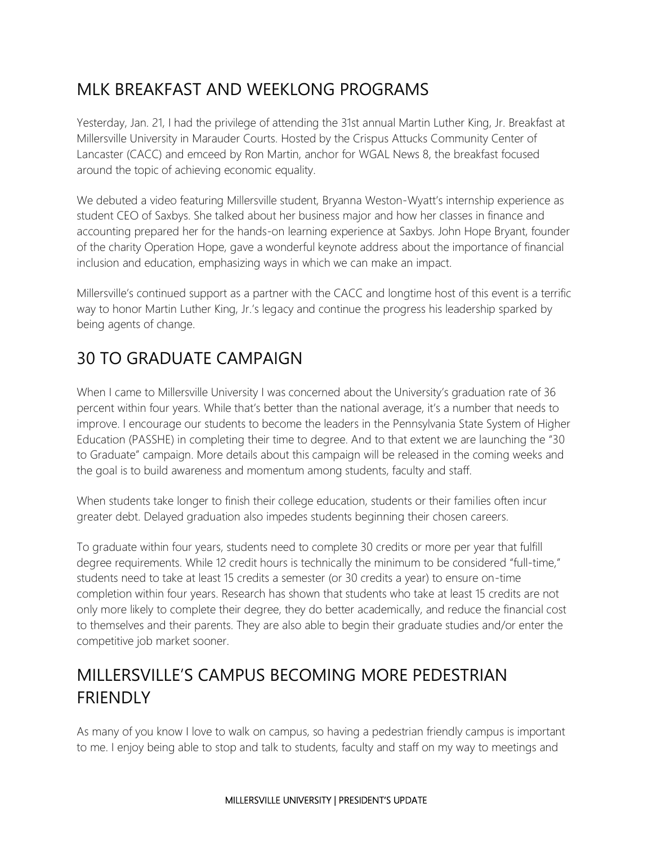## MLK BREAKFAST AND WEEKLONG PROGRAMS

Yesterday, Jan. 21, I had the privilege of attending the 31st annual Martin Luther King, Jr. Breakfast at Millersville University in Marauder Courts. Hosted by the Crispus Attucks Community Center of Lancaster (CACC) and emceed by Ron Martin, anchor for WGAL News 8, the breakfast focused around the topic of achieving economic equality.

We debuted a video featuring Millersville student, Bryanna Weston-Wyatt's internship experience as student CEO of Saxbys. She talked about her business major and how her classes in finance and accounting prepared her for the hands-on learning experience at Saxbys. John Hope Bryant, founder of the charity Operation Hope, gave a wonderful keynote address about the importance of financial inclusion and education, emphasizing ways in which we can make an impact.

Millersville's continued support as a partner with the CACC and longtime host of this event is a terrific way to honor Martin Luther King, Jr.'s legacy and continue the progress his leadership sparked by being agents of change.

#### 30 TO GRADUATE CAMPAIGN

When I came to Millersville University I was concerned about the University's graduation rate of 36 percent within four years. While that's better than the national average, it's a number that needs to improve. I encourage our students to become the leaders in the Pennsylvania State System of Higher Education (PASSHE) in completing their time to degree. And to that extent we are launching the "30 to Graduate" campaign. More details about this campaign will be released in the coming weeks and the goal is to build awareness and momentum among students, faculty and staff.

When students take longer to finish their college education, students or their families often incur greater debt. Delayed graduation also impedes students beginning their chosen careers.

To graduate within four years, students need to complete 30 credits or more per year that fulfill degree requirements. While 12 credit hours is technically the minimum to be considered "full-time," students need to take at least 15 credits a semester (or 30 credits a year) to ensure on-time completion within four years. Research has shown that students who take at least 15 credits are not only more likely to complete their degree, they do better academically, and reduce the financial cost to themselves and their parents. They are also able to begin their graduate studies and/or enter the competitive job market sooner.

## MILLERSVILLE'S CAMPUS BECOMING MORE PEDESTRIAN **FRIENDLY**

As many of you know I love to walk on campus, so having a pedestrian friendly campus is important to me. I enjoy being able to stop and talk to students, faculty and staff on my way to meetings and